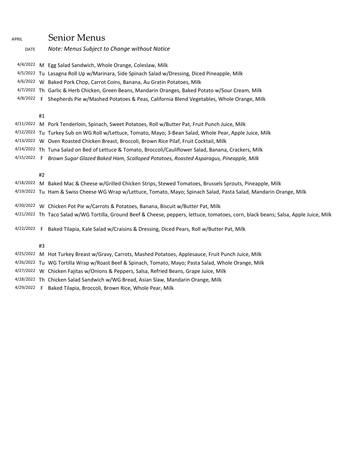## APRIL Senior Menus

| <b>DATE</b> |    | Note: Menus Subject to Change without Notice                                                                                         |
|-------------|----|--------------------------------------------------------------------------------------------------------------------------------------|
|             |    | 4/4/2022 M Egg Salad Sandwich, Whole Orange, Coleslaw, Milk                                                                          |
|             |    | 4/5/2022 Tu Lasagna Roll Up w/Marinara, Side Spinach Salad w/Dressing, Diced Pineapple, Milk                                         |
|             |    | 4/6/2022 W Baked Pork Chop, Carrot Coins, Banana, Au Gratin Potatoes, Milk                                                           |
|             |    | 4/7/2022 Th Garlic & Herb Chicken, Green Beans, Mandarin Oranges, Baked Potato w/Sour Cream, Milk                                    |
|             |    | 4/8/2022 F Shepherds Pie w/Mashed Potatoes & Peas, California Blend Vegetables, Whole Orange, Milk                                   |
|             | #1 |                                                                                                                                      |
|             |    | 4/11/2022 M Pork Tenderloin, Spinach, Sweet Potatoes, Roll w/Butter Pat, Fruit Punch Juice, Milk                                     |
|             |    | 4/12/2022 Tu Turkey Sub on WG Roll w/Lettuce, Tomato, Mayo; 3-Bean Salad, Whole Pear, Apple Juice, Milk                              |
|             |    | 4/13/2022 W Oven Roasted Chicken Breast, Broccoli, Brown Rice Pilaf, Fruit Cocktail, Milk                                            |
|             |    | 4/14/2022 Th Tuna Salad on Bed of Lettuce & Tomato, Broccoli/Cauliflower Salad, Banana, Crackers, Milk                               |
| 4/15/2022 F |    | Brown Sugar Glazed Baked Ham, Scalloped Potatoes, Roasted Asparagus, Pineapple, Milk                                                 |
|             | #2 |                                                                                                                                      |
|             |    | 4/18/2022 M Baked Mac & Cheese w/Grilled Chicken Strips, Stewed Tomatoes, Brussels Sprouts, Pineapple, Milk                          |
|             |    | 4/19/2022 Tu Ham & Swiss Cheese WG Wrap w/Lettuce, Tomato, Mayo; Spinach Salad, Pasta Salad, Mandarin Orange, Milk                   |
|             |    | 4/20/2022 W Chicken Pot Pie w/Carrots & Potatoes, Banana, Biscuit w/Butter Pat, Milk                                                 |
|             |    | 4/21/2022 Th Taco Salad w/WG Tortilla, Ground Beef & Cheese, peppers, lettuce, tomatoes, corn, black beans; Salsa, Apple Juice, Milk |
|             |    | 4/22/2022 F Baked Tilapia, Kale Salad w/Craisins & Dressing, Diced Pears, Roll w/Butter Pat, Milk                                    |
|             | #3 |                                                                                                                                      |

4/25/2022 M Hot Turkey Breast w/Gravy, Carrots, Mashed Potatoes, Applesauce, Fruit Punch Juice, Milk

4/26/2022 Tu WG Tortilla Wrap w/Roast Beef & Spinach, Tomato, Mayo; Pasta Salad, Whole Orange, Milk

4/27/2022 W Chicken Fajitas w/Onions & Peppers, Salsa, Refried Beans, Grape Juice, Milk

4/28/2022 Th Chicken Salad Sandwich w/WG Bread, Asian Slaw, Mandarin Orange, Milk

4/29/2022 F Baked Tilapia, Broccoli, Brown Rice, Whole Pear, Milk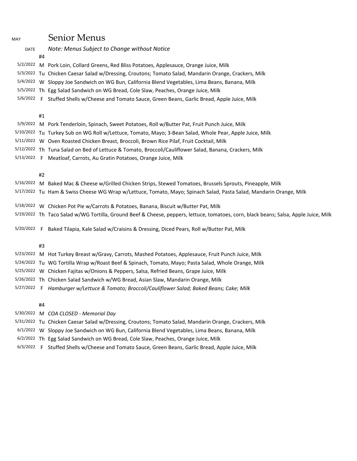| MAY         |    | Senior Menus                                                                                                                         |
|-------------|----|--------------------------------------------------------------------------------------------------------------------------------------|
| <b>DATE</b> |    | Note: Menus Subject to Change without Notice                                                                                         |
|             | #4 |                                                                                                                                      |
|             |    | 5/2/2022 M Pork Loin, Collard Greens, Red Bliss Potatoes, Applesauce, Orange Juice, Milk                                             |
|             |    | 5/3/2022 Tu Chicken Caesar Salad w/Dressing, Croutons; Tomato Salad, Mandarin Orange, Crackers, Milk                                 |
|             |    | 5/4/2022 W Sloppy Joe Sandwich on WG Bun, California Blend Vegetables, Lima Beans, Banana, Milk                                      |
|             |    | 5/5/2022 Th Egg Salad Sandwich on WG Bread, Cole Slaw, Peaches, Orange Juice, Milk                                                   |
|             |    | 5/6/2022 F Stuffed Shells w/Cheese and Tomato Sauce, Green Beans, Garlic Bread, Apple Juice, Milk                                    |
|             | #1 |                                                                                                                                      |
|             |    | 5/9/2022 M Pork Tenderloin, Spinach, Sweet Potatoes, Roll w/Butter Pat, Fruit Punch Juice, Milk                                      |
|             |    | 5/10/2022 Tu Turkey Sub on WG Roll w/Lettuce, Tomato, Mayo; 3-Bean Salad, Whole Pear, Apple Juice, Milk                              |
|             |    | 5/11/2022 W Oven Roasted Chicken Breast, Broccoli, Brown Rice Pilaf, Fruit Cocktail, Milk                                            |
|             |    | 5/12/2022 Th Tuna Salad on Bed of Lettuce & Tomato, Broccoli/Cauliflower Salad, Banana, Crackers, Milk                               |
|             |    | 5/13/2022 F Meatloaf, Carrots, Au Gratin Potatoes, Orange Juice, Milk                                                                |
|             | #2 |                                                                                                                                      |
|             |    | 5/16/2022 M Baked Mac & Cheese w/Grilled Chicken Strips, Stewed Tomatoes, Brussels Sprouts, Pineapple, Milk                          |
|             |    | 5/17/2022 Tu Ham & Swiss Cheese WG Wrap w/Lettuce, Tomato, Mayo; Spinach Salad, Pasta Salad, Mandarin Orange, Milk                   |
|             |    | 5/18/2022 W Chicken Pot Pie w/Carrots & Potatoes, Banana, Biscuit w/Butter Pat, Milk                                                 |
|             |    | 5/19/2022 Th Taco Salad w/WG Tortilla, Ground Beef & Cheese, peppers, lettuce, tomatoes, corn, black beans; Salsa, Apple Juice, Milk |
| 5/20/2022 F |    | Baked Tilapia, Kale Salad w/Craisins & Dressing, Diced Pears, Roll w/Butter Pat, Milk                                                |
|             | #3 |                                                                                                                                      |
|             |    | 5/23/2022 M Hot Turkey Breast w/Gravy, Carrots, Mashed Potatoes, Applesauce, Fruit Punch Juice, Milk                                 |
|             |    | 5/24/2022 Tu WG Tortilla Wrap w/Roast Beef & Spinach, Tomato, Mayo; Pasta Salad, Whole Orange, Milk                                  |

- 5/25/2022 W Chicken Fajitas w/Onions & Peppers, Salsa, Refried Beans, Grape Juice, Milk
- 5/26/2022 Th Chicken Salad Sandwich w/WG Bread, Asian Slaw, Mandarin Orange, Milk
- 5/27/2022 F *Hamburger w/Lettuce & Tomato; Broccoli/Cauliflower Salad; Baked Beans; Cake; Milk*

#4

5/30/2022 M *COA CLOSED - Memorial Day*

- 5/31/2022 Tu Chicken Caesar Salad w/Dressing, Croutons; Tomato Salad, Mandarin Orange, Crackers, Milk
- 6/1/2022 W Sloppy Joe Sandwich on WG Bun, California Blend Vegetables, Lima Beans, Banana, Milk
- 6/2/2022 Th Egg Salad Sandwich on WG Bread, Cole Slaw, Peaches, Orange Juice, Milk
- 6/3/2022 F Stuffed Shells w/Cheese and Tomato Sauce, Green Beans, Garlic Bread, Apple Juice, Milk